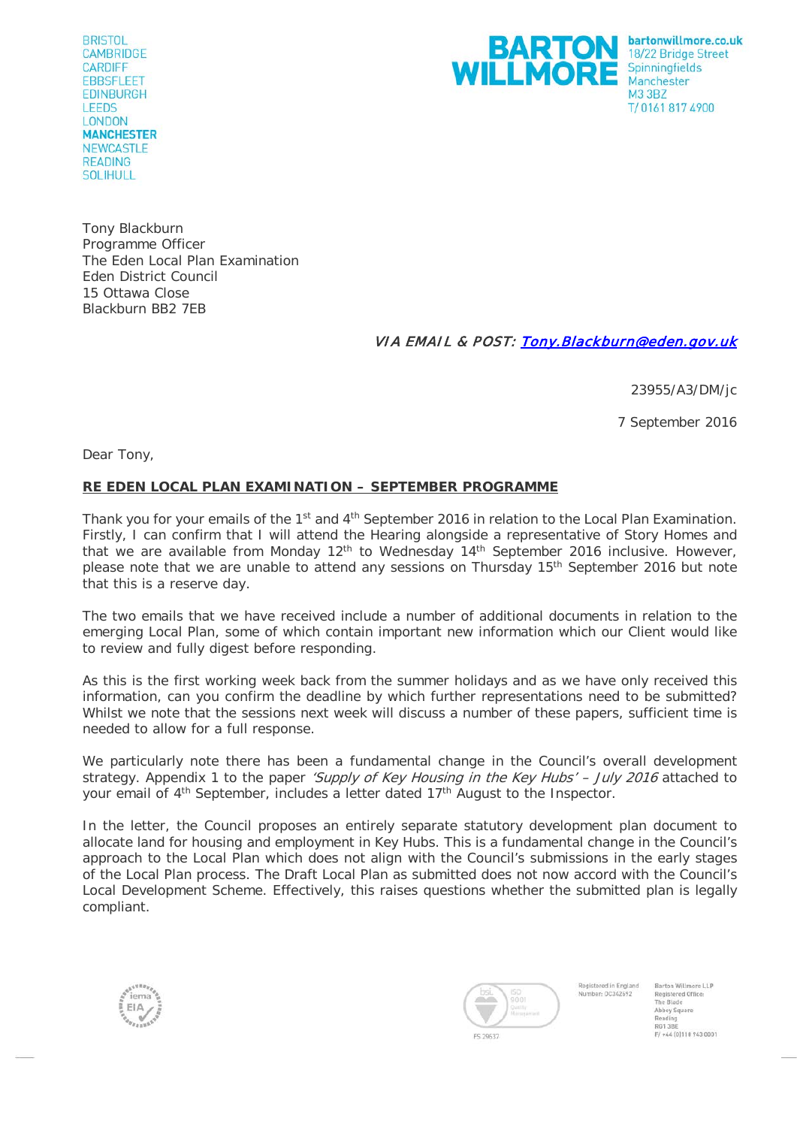**BRISTOL CAMBRIDGE CARDIFF EBBSFLEET EDINBURGH LEEDS LONDON MANCHESTER NEWCASTLE READING** SOLIHULL



Tony Blackburn Programme Officer The Eden Local Plan Examination Eden District Council 15 Ottawa Close Blackburn BB2 7EB

## VIA EMAIL & POST: [Tony.Blackburn@eden.gov.uk](mailto:Tony.Blackburn@eden.gov.uk)

23955/A3/DM/jc

7 September 2016

Dear Tony,

## **RE EDEN LOCAL PLAN EXAMINATION – SEPTEMBER PROGRAMME**

Thank you for your emails of the 1<sup>st</sup> and 4<sup>th</sup> September 2016 in relation to the Local Plan Examination. Firstly, I can confirm that I will attend the Hearing alongside a representative of Story Homes and that we are available from Monday  $12<sup>th</sup>$  to Wednesday  $14<sup>th</sup>$  September 2016 inclusive. However, please note that we are unable to attend any sessions on Thursday 15th September 2016 but note that this is a reserve day.

The two emails that we have received include a number of additional documents in relation to the emerging Local Plan, some of which contain important new information which our Client would like to review and fully digest before responding.

As this is the first working week back from the summer holidays and as we have only received this information, can you confirm the deadline by which further representations need to be submitted? Whilst we note that the sessions next week will discuss a number of these papers, sufficient time is needed to allow for a full response.

We particularly note there has been a fundamental change in the Council's overall development strategy. Appendix 1 to the paper 'Supply of Key Housing in the Key Hubs' - July 2016 attached to your email of 4<sup>th</sup> September, includes a letter dated 17<sup>th</sup> August to the Inspector.

In the letter, the Council proposes an entirely separate statutory development plan document to allocate land for housing and employment in Key Hubs. This is a fundamental change in the Council's approach to the Local Plan which does not align with the Council's submissions in the early stages of the Local Plan process. The Draft Local Plan as submitted does not now accord with the Council's Local Development Scheme. Effectively, this raises questions whether the submitted plan is legally compliant.





Registered in England Barton Willmore LLP Number-00342492 Registered Office The Blade The Blade<br>Reading<br>Reading<br>RG1 3BE<br>F/ +44 (0)118 943 0001